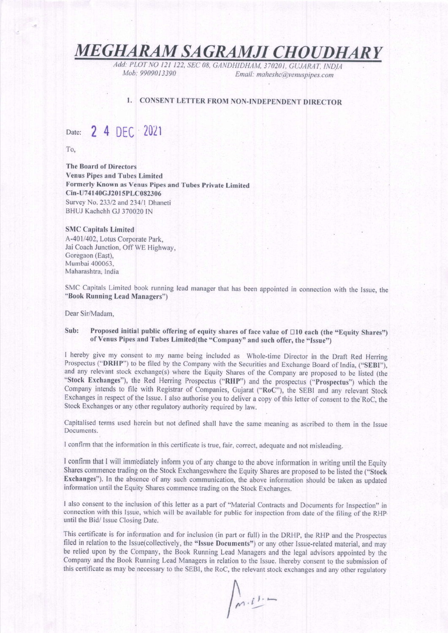MEGHARAM SAGRAMJI CHOUDHARY

Add: PLOT NO 121 122, SEC 08, GANDHIDHAM, 370201, GUJARAT, INDIA<br>Mob: 9909013390<br>Fmail: mahashc@yanyspings.com Email: maheshc@venuspipes.com

## 1. CONSENT LETTER FROM NON-INDEPENDENT DIRECTOR

Date: 2 4 DEC 2021

To,

The Board of Directors Venus Pipes and Tubes Limited Formerly Known as Venus Pipes and Tubes private Limited Cin-U741 40cJ20l 5PLC082306 Survey No. 233/2 and 234/1 Dhaneti BHUJ Kachchh GJ 370020 IN

#### SMC Capitals Limired A-401/402, Lotus Corporate Park,

Jai Coach Junction, Off WE Highway, Coregaon (East), Mumbai 400063, Maharashtra: India

SMC Capitals Limited book running lead manager that has been appointed in connection with the Issue, the "Book Running Lead Managers")

Dear Sir/Madam,

### Sub: Proposed initial public offering of equity shares of face value of  $\Box$ 10 each (the "Equity Shares") of Venus Pipes and Tubes Limited(the "Company" and such offer, the "Issue")

I hereby give my consent to my name being included as Whole-time Director in the Draft Red Herring Prospectus ("DRHP") to be filed by the Company with the Securities and Exchange Board of India, ("SEBI"), and any relevant stock exchange(s) where the Equity shares of the company are proposed to be listed (the "Stock Exchanges"), the Red Herring Prospectus ("RHP") and the prospectus ("Prospectus") which the company intends to file with Registrar of companies, Gujarat ("Roc"), the sEBl and any relevant stock Exchanges in respect of the Issue. I also authorise you to deliver a copy of this letter of consent to the RoC, the Stock Exchanges or any other regulatory authority required by law.

Capitalised terms used herein but not defined shall have the same meaning as ascribed to them in the Issue Documents.

I confirm that the information in this certificate is true, fair, correct, adequate and not misleading.

I confirm that I will immediately inform you of any change to the above information in writing until the Equity Shares commence trading on the Stock Exchangeswhere the Equity Shares are proposed to be listed the ("Stock Exchanges"). ln the absence of any such communication, the above infornation should be taken as updated information until the Equity Shares commence trading on the Stock Exchanges.

I also consent to the inclusion of this letter as a part of "Material Contracts and Documents for Inspection" in connection with this Issue, which will be available for public for inspection from date of the filing of the RHp until the Bid/ Issue Closing Date.

This certificate is for information and for inclusion (in part or full) in the DRHP, the RHP and the Prospectus filed in relation to the Issue(collectively, the "Issue Documents") or any other Issue-related material, and may be relied upon by the company, the Book Running Lead Managers and the legal advisors appointed by the Company and the Book Running Lead Managers in relation to the Issue, lhereby consent to the submission of this certificate as may be necessary to the SEBI, the RoC, the relevant stock exchanges and any other regulatory

 $\sqrt{n \cdot l!}$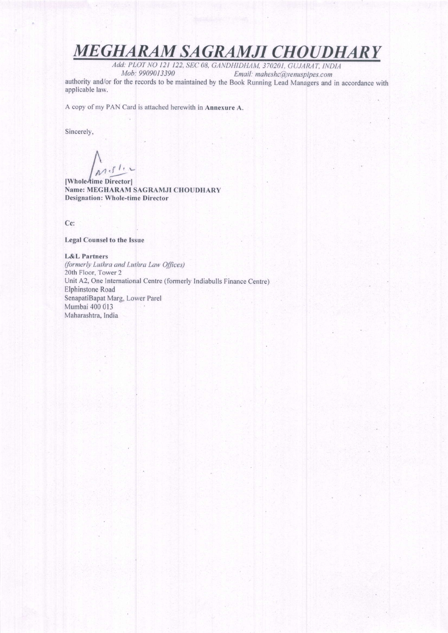# MEGHARAM SAGRAMJI CHOUDHARY

Add: PLOT NO 121 122, SEC 08, GANDHIDHAM, 370201, GUJARAT, INDIA<br>Mob: 9909013390 Email: maheshc@venusnines.com Email: maheshc@venuspipes.com

authority and/or for the records to be maintained by the Book Running Lead Managers and in accordance with applicable law.

A copy of my PAN Card is attached herewith in Annexure A.

Sincerely,

 $\int$  $ln(f)$ :

lWholeJtime Directorl Name: MEGHARAM SAGRAMJI CHOUDHARY Designation: Whole-time Director

Cc:

#### Legal Counsel to the lssuc

L&L Partners

(formerly Luthra and Luthra Law Offices) 20th Floor. Tower 2 Unit A2, One lntemational Centre (formerly Indiabulls Finance Centre) Elphinstone Road SenapatiBapat Marg, Lower Parel Mumbai 400 013 Maharashtra, lndia